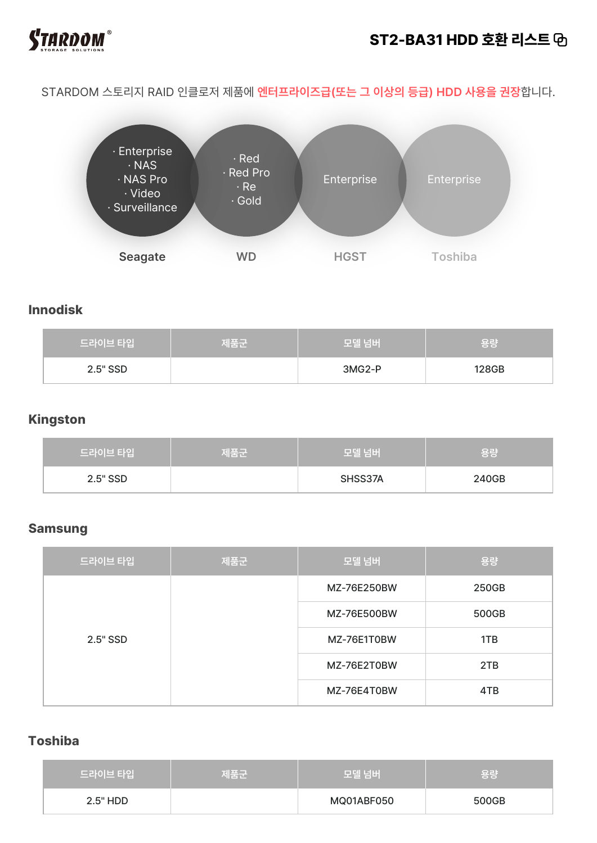

## **ST2-BA31 HDD 호환 리스트**

STARDOM 스토리지 RAID 인클로저 제품에 **엔터프라이즈급(또는 그 이상의 등급) HDD 사용을 권장**합니다.



### **Innodisk**

| 드라이브 타입  | 제품군 | 모델 넘버    | \용량   |
|----------|-----|----------|-------|
| 2.5" SSD |     | $3MG2-P$ | 128GB |

#### **Kingston**

| 드라이브 타입  | 제품군 | '모델 넘버  | 용량    |
|----------|-----|---------|-------|
| 2.5" SSD |     | SHSS37A | 240GB |

#### **Samsung**

| 드라이브 타입  | 제품군 | 모델 넘버       | 용량    |
|----------|-----|-------------|-------|
| 2.5" SSD |     | MZ-76E250BW | 250GB |
|          |     | MZ-76E500BW | 500GB |
|          |     | MZ-76E1T0BW | 1TB   |
|          |     | MZ-76E2T0BW | 2TB   |
|          |     | MZ-76E4T0BW | 4TB   |

## **Toshiba**

| 드라이브 타입  | 제품군 | 모델 넘버      | \용량   |
|----------|-----|------------|-------|
| 2.5" HDD |     | MQ01ABF050 | 500GB |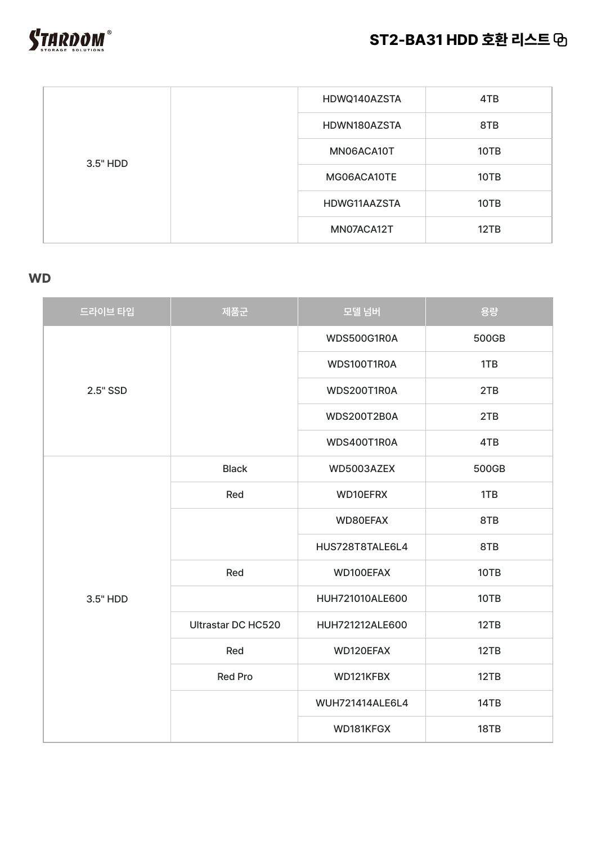# **ST2-BA31 HDD 호환 리스트**



| 3.5" HDD | HDWQ140AZSTA | 4TB  |
|----------|--------------|------|
|          | HDWN180AZSTA | 8TB  |
|          | MN06ACA10T   | 10TB |
|          | MG06ACA10TE  | 10TB |
|          | HDWG11AAZSTA | 10TB |
|          | MN07ACA12T   | 12TB |

## **WD**

| 드라이브 타입  | 제품군                       | 모델 넘버              | 용량    |
|----------|---------------------------|--------------------|-------|
|          |                           | WDS500G1R0A        | 500GB |
|          |                           | WDS100T1R0A        | 1TB   |
| 2.5" SSD |                           | WDS200T1R0A        | 2TB   |
|          |                           | <b>WDS200T2B0A</b> | 2TB   |
|          |                           | WDS400T1R0A        | 4TB   |
|          | <b>Black</b>              | WD5003AZEX         | 500GB |
|          | Red                       | WD10EFRX           | 1TB   |
|          |                           | WD80EFAX           | 8TB   |
|          |                           | HUS728T8TALE6L4    | 8TB   |
|          | Red                       | WD100EFAX          | 10TB  |
| 3.5" HDD |                           | HUH721010ALE600    | 10TB  |
|          | <b>Ultrastar DC HC520</b> | HUH721212ALE600    | 12TB  |
|          | Red                       | WD120EFAX          | 12TB  |
|          | <b>Red Pro</b>            | WD121KFBX          | 12TB  |
|          |                           | WUH721414ALE6L4    | 14TB  |
|          |                           | WD181KFGX          | 18TB  |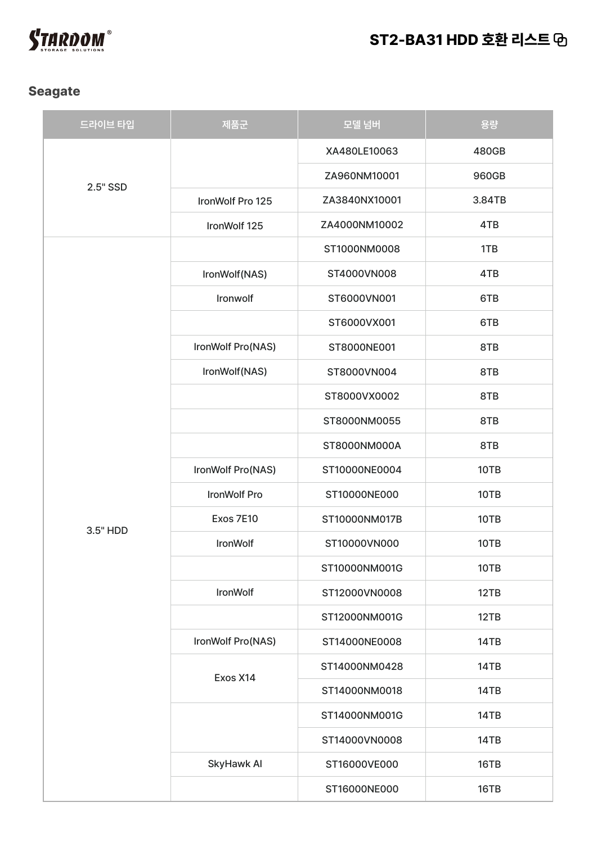

### **Seagate**

| 드라이브 타입  | 제품군               | 모델 넘버         | 용량     |
|----------|-------------------|---------------|--------|
| 2.5" SSD |                   | XA480LE10063  | 480GB  |
|          |                   | ZA960NM10001  | 960GB  |
|          | IronWolf Pro 125  | ZA3840NX10001 | 3.84TB |
|          | IronWolf 125      | ZA4000NM10002 | 4TB    |
|          |                   | ST1000NM0008  | 1TB    |
|          | IronWolf(NAS)     | ST4000VN008   | 4TB    |
|          | Ironwolf          | ST6000VN001   | 6TB    |
|          |                   | ST6000VX001   | 6TB    |
|          | IronWolf Pro(NAS) | ST8000NE001   | 8TB    |
|          | IronWolf(NAS)     | ST8000VN004   | 8TB    |
|          |                   | ST8000VX0002  | 8TB    |
|          |                   | ST8000NM0055  | 8TB    |
|          |                   | ST8000NM000A  | 8TB    |
|          | IronWolf Pro(NAS) | ST10000NE0004 | 10TB   |
|          | IronWolf Pro      | ST10000NE000  | 10TB   |
| 3.5" HDD | Exos 7E10         | ST10000NM017B | 10TB   |
|          | IronWolf          | ST10000VN000  | 10TB   |
|          |                   | ST10000NM001G | 10TB   |
|          | IronWolf          | ST12000VN0008 | 12TB   |
|          |                   | ST12000NM001G | 12TB   |
|          | IronWolf Pro(NAS) | ST14000NE0008 | 14TB   |
|          | Exos X14          | ST14000NM0428 | 14TB   |
|          |                   | ST14000NM0018 | 14TB   |
|          |                   | ST14000NM001G | 14TB   |
|          |                   | ST14000VN0008 | 14TB   |
|          | SkyHawk Al        | ST16000VE000  | 16TB   |
|          |                   | ST16000NE000  | 16TB   |